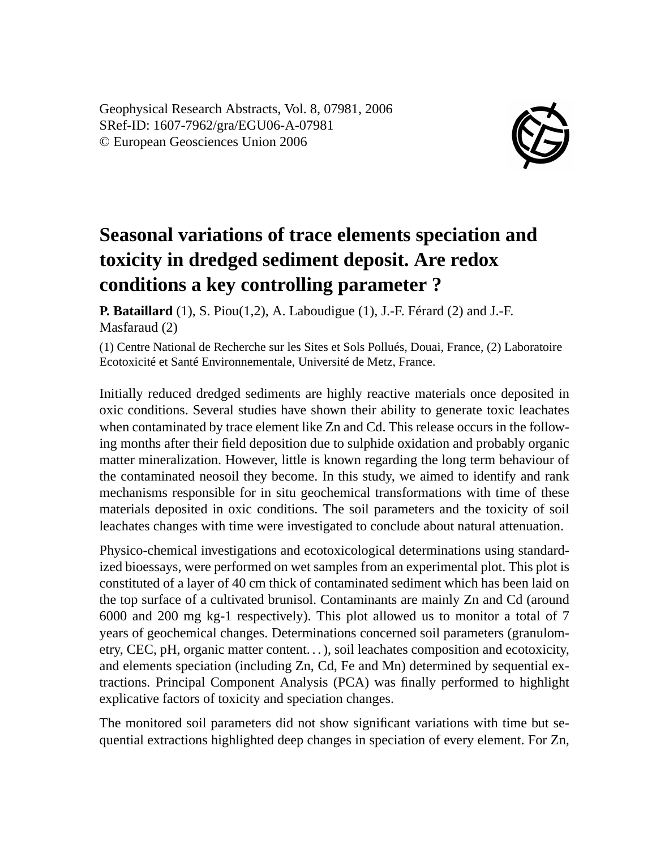Geophysical Research Abstracts, Vol. 8, 07981, 2006 SRef-ID: 1607-7962/gra/EGU06-A-07981 © European Geosciences Union 2006



## **Seasonal variations of trace elements speciation and toxicity in dredged sediment deposit. Are redox conditions a key controlling parameter ?**

**P. Bataillard** (1), S. Piou(1,2), A. Laboudigue (1), J.-F. Férard (2) and J.-F. Masfaraud (2)

(1) Centre National de Recherche sur les Sites et Sols Pollués, Douai, France, (2) Laboratoire Ecotoxicité et Santé Environnementale, Université de Metz, France.

Initially reduced dredged sediments are highly reactive materials once deposited in oxic conditions. Several studies have shown their ability to generate toxic leachates when contaminated by trace element like Zn and Cd. This release occurs in the following months after their field deposition due to sulphide oxidation and probably organic matter mineralization. However, little is known regarding the long term behaviour of the contaminated neosoil they become. In this study, we aimed to identify and rank mechanisms responsible for in situ geochemical transformations with time of these materials deposited in oxic conditions. The soil parameters and the toxicity of soil leachates changes with time were investigated to conclude about natural attenuation.

Physico-chemical investigations and ecotoxicological determinations using standardized bioessays, were performed on wet samples from an experimental plot. This plot is constituted of a layer of 40 cm thick of contaminated sediment which has been laid on the top surface of a cultivated brunisol. Contaminants are mainly Zn and Cd (around 6000 and 200 mg kg-1 respectively). This plot allowed us to monitor a total of 7 years of geochemical changes. Determinations concerned soil parameters (granulometry, CEC, pH, organic matter content. . . ), soil leachates composition and ecotoxicity, and elements speciation (including Zn, Cd, Fe and Mn) determined by sequential extractions. Principal Component Analysis (PCA) was finally performed to highlight explicative factors of toxicity and speciation changes.

The monitored soil parameters did not show significant variations with time but sequential extractions highlighted deep changes in speciation of every element. For Zn,